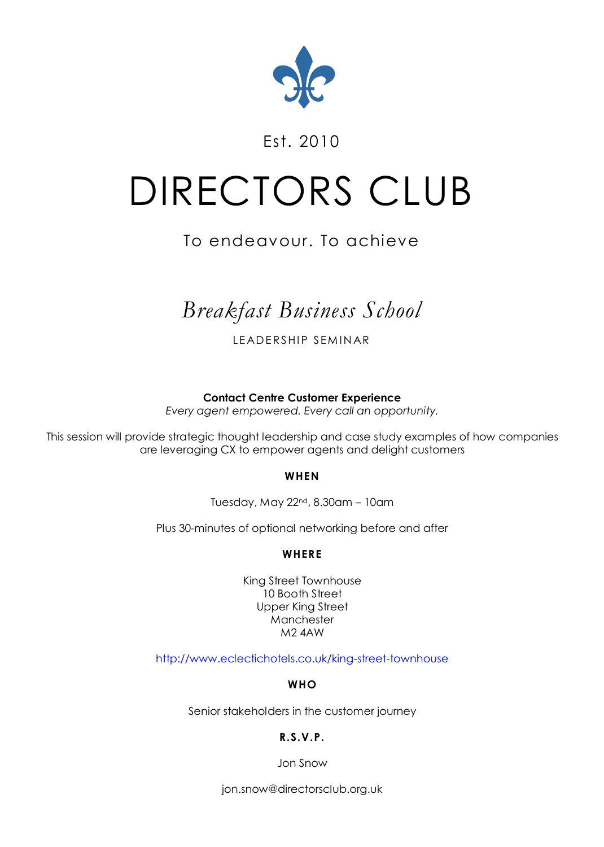

### Est. 2010

# DIRECTORS CLUB

## To endeavour. To achieve

# *Breakfast Business School*

LEADERSHIP SEMINAR

**Contact Centre Customer Experience**

*Every agent empowered. Every call an opportunity.*

This session will provide strategic thought leadership and case study examples of how companies are leveraging CX to empower agents and delight customers

#### **WHEN**

Tuesday, May 22nd, 8.30am – 10am

Plus 30-minutes of optional networking before and after

#### **WHERE**

King Street Townhouse 10 Booth Street Upper King Street Manchester M2 4AW

<http://www.eclectichotels.co.uk/king-street-townhouse>

#### **WHO**

Senior stakeholders in the customer journey

#### **R.S.V.P.**

Jon Snow

[jon.snow@directorsclub.org.uk](mailto:jon.snow@directorsclub.org.uk)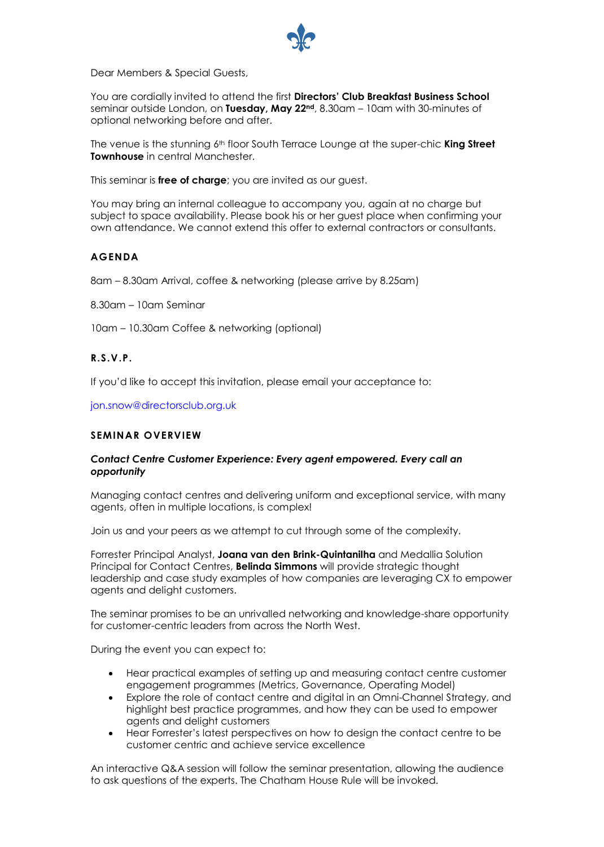

Dear Members & Special Guests,

You are cordially invited to attend the first **Directors' Club Breakfast Business School** seminar outside London, on **Tuesday, May 22nd**, 8.30am – 10am with 30-minutes of optional networking before and after.

The venue is the stunning 6<sup>th</sup> floor South Terrace Lounge at the super-chic **King Street Townhouse** in central Manchester.

This seminar is **free of charge**; you are invited as our guest.

You may bring an internal colleague to accompany you, again at no charge but subject to space availability. Please book his or her guest place when confirming your own attendance. We cannot extend this offer to external contractors or consultants.

#### **AGENDA**

8am – 8.30am Arrival, coffee & networking (please arrive by 8.25am)

8.30am – 10am Seminar

10am – 10.30am Coffee & networking (optional)

#### **R.S.V.P.**

If you'd like to accept this invitation, please email your acceptance to:

[jon.snow@directorsclub.org.uk](mailto:jon.snow@directorsclub.org.uk)

#### **SEMINAR OVERVIEW**

#### *Contact Centre Customer Experience: Every agent empowered. Every call an opportunity*

Managing contact centres and delivering uniform and exceptional service, with many agents, often in multiple locations, is complex!

Join us and your peers as we attempt to cut through some of the complexity.

Forrester Principal Analyst, **Joana van den Brink-Quintanilha** and Medallia Solution Principal for Contact Centres, **Belinda Simmons** will provide strategic thought leadership and case study examples of how companies are leveraging CX to empower agents and delight customers.

The seminar promises to be an unrivalled networking and knowledge-share opportunity for customer-centric leaders from across the North West.

During the event you can expect to:

- Hear practical examples of setting up and measuring contact centre customer engagement programmes (Metrics, Governance, Operating Model)
- Explore the role of contact centre and digital in an Omni-Channel Strategy, and highlight best practice programmes, and how they can be used to empower agents and delight customers
- Hear Forrester's latest perspectives on how to design the contact centre to be customer centric and achieve service excellence

An interactive Q&A session will follow the seminar presentation, allowing the audience to ask questions of the experts. The Chatham House Rule will be invoked.